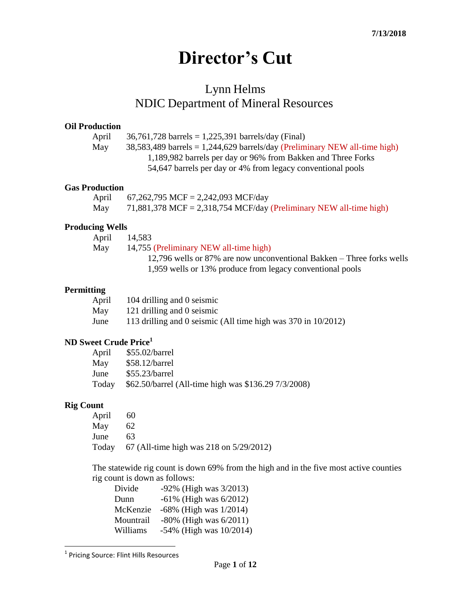# **Director's Cut**

# Lynn Helms NDIC Department of Mineral Resources

#### **Oil Production**

April 36,761,728 barrels = 1,225,391 barrels/day (Final)

May  $38,583,489$  barrels = 1,244,629 barrels/day (Preliminary NEW all-time high) 1,189,982 barrels per day or 96% from Bakken and Three Forks 54,647 barrels per day or 4% from legacy conventional pools

#### **Gas Production**

| April | 67,262,795 MCF = 2,242,093 MCF/day                                 |
|-------|--------------------------------------------------------------------|
| May   | 71,881,378 MCF = 2,318,754 MCF/day (Preliminary NEW all-time high) |

### **Producing Wells**

| April | 14,583                                                                |
|-------|-----------------------------------------------------------------------|
| May   | 14,755 (Preliminary NEW all-time high)                                |
|       | 12,796 wells or 87% are now unconventional Bakken – Three forks wells |
|       | 1,959 wells or 13% produce from legacy conventional pools             |

#### **Permitting**

| April | 104 drilling and 0 seismic                                    |
|-------|---------------------------------------------------------------|
| May   | 121 drilling and 0 seismic                                    |
| June  | 113 drilling and 0 seismic (All time high was 370 in 10/2012) |

## **ND Sweet Crude Price<sup>1</sup>**

| April | $$55.02/b$ arrel                                     |
|-------|------------------------------------------------------|
| May   | $$58.12/b$ arrel                                     |
| June  | $$55.23/b$ arrel                                     |
| Today | \$62.50/barrel (All-time high was \$136.29 7/3/2008) |

### **Rig Count**

| April | 60                                                 |
|-------|----------------------------------------------------|
| May   | 62                                                 |
| June  | 63                                                 |
|       | Today 67 (All-time high was $218$ on $5/29/2012$ ) |

The statewide rig count is down 69% from the high and in the five most active counties rig count is down as follows:

| Divide    | -92% (High was 3/2013)       |
|-----------|------------------------------|
| Dunn      | $-61\%$ (High was $6/2012$ ) |
| McKenzie  | $-68\%$ (High was $1/2014$ ) |
| Mountrail | $-80\%$ (High was $6/2011$ ) |
| Williams  | -54% (High was 10/2014)      |

 1 Pricing Source: Flint Hills Resources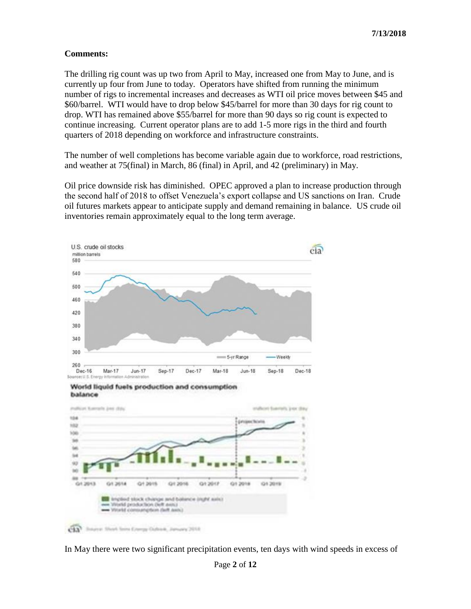### **Comments:**

The drilling rig count was up two from April to May, increased one from May to June, and is currently up four from June to today. Operators have shifted from running the minimum number of rigs to incremental increases and decreases as WTI oil price moves between \$45 and \$60/barrel. WTI would have to drop below \$45/barrel for more than 30 days for rig count to drop. WTI has remained above \$55/barrel for more than 90 days so rig count is expected to continue increasing. Current operator plans are to add 1-5 more rigs in the third and fourth quarters of 2018 depending on workforce and infrastructure constraints.

The number of well completions has become variable again due to workforce, road restrictions, and weather at 75(final) in March, 86 (final) in April, and 42 (preliminary) in May.

Oil price downside risk has diminished. OPEC approved a plan to increase production through the second half of 2018 to offset Venezuela's export collapse and US sanctions on Iran. Crude oil futures markets appear to anticipate supply and demand remaining in balance. US crude oil inventories remain approximately equal to the long term average.



In May there were two significant precipitation events, ten days with wind speeds in excess of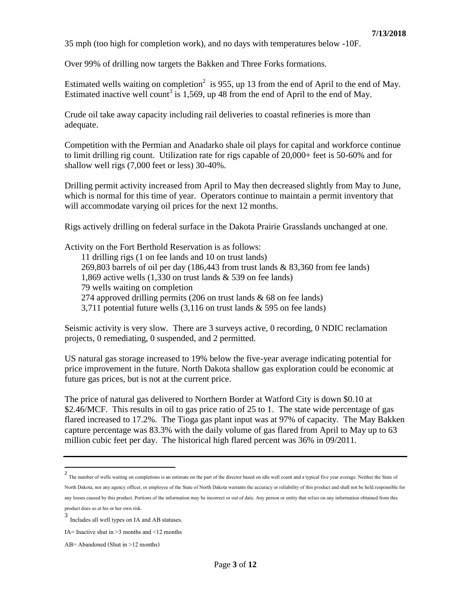35 mph (too high for completion work), and no days with temperatures below -10F.

Over 99% of drilling now targets the Bakken and Three Forks formations.

Estimated wells waiting on completion<sup>2</sup> is 955, up 13 from the end of April to the end of May. Estimated inactive well count<sup>3</sup> is 1,569, up 48 from the end of April to the end of May.

Crude oil take away capacity including rail deliveries to coastal refineries is more than adequate.

Competition with the Permian and Anadarko shale oil plays for capital and workforce continue to limit drilling rig count. Utilization rate for rigs capable of 20,000+ feet is 50-60% and for shallow well rigs (7,000 feet or less) 30-40%.

Drilling permit activity increased from April to May then decreased slightly from May to June, which is normal for this time of year. Operators continue to maintain a permit inventory that will accommodate varying oil prices for the next 12 months.

Rigs actively drilling on federal surface in the Dakota Prairie Grasslands unchanged at one.

Activity on the Fort Berthold Reservation is as follows: 11 drilling rigs (1 on fee lands and 10 on trust lands) 269,803 barrels of oil per day (186,443 from trust lands & 83,360 from fee lands)

1,869 active wells (1,330 on trust lands & 539 on fee lands)

79 wells waiting on completion

274 approved drilling permits (206 on trust lands & 68 on fee lands)

3,711 potential future wells (3,116 on trust lands & 595 on fee lands)

Seismic activity is very slow. There are 3 surveys active, 0 recording, 0 NDIC reclamation projects, 0 remediating, 0 suspended, and 2 permitted.

US natural gas storage increased to 19% below the five-year average indicating potential for price improvement in the future. North Dakota shallow gas exploration could be economic at future gas prices, but is not at the current price.

The price of natural gas delivered to Northern Border at Watford City is down \$0.10 at \$2.46/MCF. This results in oil to gas price ratio of 25 to 1. The state wide percentage of gas flared increased to 17.2%. The Tioga gas plant input was at 97% of capacity. The May Bakken capture percentage was 83.3% with the daily volume of gas flared from April to May up to 63 million cubic feet per day. The historical high flared percent was 36% in 09/2011.

product does so at his or her own risk.

<sup>&</sup>lt;sup>2</sup><br>The number of wells waiting on completions is an estimate on the part of the director based on idle well count and a typical five year average. Neither the State of North Dakota, nor any agency officer, or employee of the State of North Dakota warrants the accuracy or reliability of this product and shall not be held responsible for any losses caused by this product. Portions of the information may be incorrect or out of date. Any person or entity that relies on any information obtained from this

<sup>3</sup> Includes all well types on IA and AB statuses.

IA= Inactive shut in  $>3$  months and  $\leq 12$  months

AB= Abandoned (Shut in >12 months)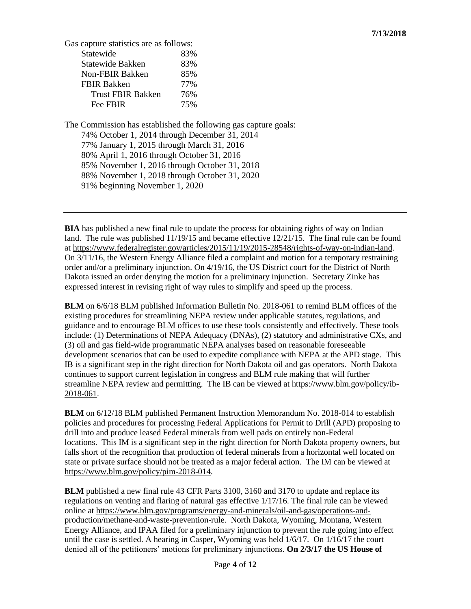Gas capture statistics are as follows:

| 83% |
|-----|
| 83% |
| 85% |
| 77% |
| 76% |
| 75% |
|     |

The Commission has established the following gas capture goals: 74% October 1, 2014 through December 31, 2014 77% January 1, 2015 through March 31, 2016 80% April 1, 2016 through October 31, 2016 85% November 1, 2016 through October 31, 2018 88% November 1, 2018 through October 31, 2020 91% beginning November 1, 2020

**BIA** has published a new final rule to update the process for obtaining rights of way on Indian land. The rule was published 11/19/15 and became effective 12/21/15. The final rule can be found at [https://www.federalregister.gov/articles/2015/11/19/2015-28548/rights-of-way-on-indian-land.](https://www.federalregister.gov/articles/2015/11/19/2015-28548/rights-of-way-on-indian-land) On 3/11/16, the Western Energy Alliance filed a complaint and motion for a temporary restraining order and/or a preliminary injunction. On 4/19/16, the US District court for the District of North Dakota issued an order denying the motion for a preliminary injunction. Secretary Zinke has expressed interest in revising right of way rules to simplify and speed up the process.

**BLM** on 6/6/18 BLM published Information Bulletin No. 2018-061 to remind BLM offices of the existing procedures for streamlining NEPA review under applicable statutes, regulations, and guidance and to encourage BLM offices to use these tools consistently and effectively. These tools include: (1) Determinations of NEPA Adequacy (DNAs), (2) statutory and administrative CXs, and (3) oil and gas field-wide programmatic NEPA analyses based on reasonable foreseeable development scenarios that can be used to expedite compliance with NEPA at the APD stage. This IB is a significant step in the right direction for North Dakota oil and gas operators. North Dakota continues to support current legislation in congress and BLM rule making that will further streamline NEPA review and permitting. The IB can be viewed at [https://www.blm.gov/policy/ib-](https://www.blm.gov/policy/ib-2018-061)[2018-061.](https://www.blm.gov/policy/ib-2018-061)

**BLM** on 6/12/18 BLM published Permanent Instruction Memorandum No. 2018-014 to establish policies and procedures for processing Federal Applications for Permit to Drill (APD) proposing to drill into and produce leased Federal minerals from well pads on entirely non-Federal locations. This IM is a significant step in the right direction for North Dakota property owners, but falls short of the recognition that production of federal minerals from a horizontal well located on state or private surface should not be treated as a major federal action. The IM can be viewed at [https://www.blm.gov/policy/pim-2018-014.](https://www.blm.gov/policy/pim-2018-014)

**BLM** published a new final rule 43 CFR Parts 3100, 3160 and 3170 to update and replace its regulations on venting and flaring of natural gas effective 1/17/16. The final rule can be viewed online at [https://www.blm.gov/programs/energy-and-minerals/oil-and-gas/operations-and](https://www.blm.gov/programs/energy-and-minerals/oil-and-gas/operations-and-production/methane-and-waste-prevention-rule)[production/methane-and-waste-prevention-rule.](https://www.blm.gov/programs/energy-and-minerals/oil-and-gas/operations-and-production/methane-and-waste-prevention-rule) North Dakota, Wyoming, Montana, Western Energy Alliance, and IPAA filed for a preliminary injunction to prevent the rule going into effect until the case is settled. A hearing in Casper, Wyoming was held 1/6/17. On 1/16/17 the court denied all of the petitioners' motions for preliminary injunctions. **On 2/3/17 the US House of**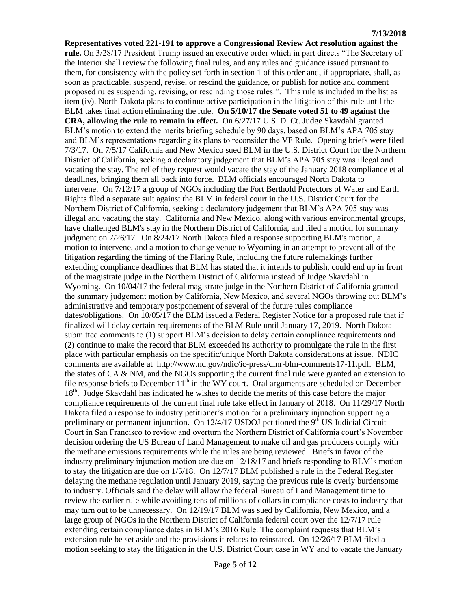**Representatives voted 221-191 to approve a Congressional Review Act resolution against the rule.** On 3/28/17 President Trump issued an executive order which in part directs "The Secretary of the Interior shall review the following final rules, and any rules and guidance issued pursuant to them, for consistency with the policy set forth in section 1 of this order and, if appropriate, shall, as soon as practicable, suspend, revise, or rescind the guidance, or publish for notice and comment proposed rules suspending, revising, or rescinding those rules:". This rule is included in the list as item (iv). North Dakota plans to continue active participation in the litigation of this rule until the BLM takes final action eliminating the rule. **On 5/10/17 the Senate voted 51 to 49 against the CRA, allowing the rule to remain in effect.** On 6/27/17 U.S. D. Ct. Judge Skavdahl granted BLM's motion to extend the merits briefing schedule by 90 days, based on BLM's APA 705 stay and BLM's representations regarding its plans to reconsider the VF Rule. Opening briefs were filed 7/3/17. On 7/5/17 California and New Mexico sued BLM in the U.S. District Court for the Northern District of California, seeking a declaratory judgement that BLM's APA 705 stay was illegal and vacating the stay. The relief they request would vacate the stay of the January 2018 compliance et al deadlines, bringing them all back into force. BLM officials encouraged North Dakota to intervene. On 7/12/17 a group of NGOs including the Fort Berthold Protectors of Water and Earth Rights filed a separate suit against the BLM in federal court in the U.S. District Court for the Northern District of California, seeking a declaratory judgement that BLM's APA 705 stay was illegal and vacating the stay. California and New Mexico, along with various environmental groups, have challenged BLM's stay in the Northern District of California, and filed a motion for summary judgment on 7/26/17. On 8/24/17 North Dakota filed a response supporting BLM's motion, a motion to intervene, and a motion to change venue to Wyoming in an attempt to prevent all of the litigation regarding the timing of the Flaring Rule, including the future rulemakings further extending compliance deadlines that BLM has stated that it intends to publish, could end up in front of the magistrate judge in the Northern District of California instead of Judge Skavdahl in Wyoming. On 10/04/17 the federal magistrate judge in the Northern District of California granted the summary judgement motion by California, New Mexico, and several NGOs throwing out BLM's administrative and temporary postponement of several of the future rules compliance dates/obligations. On 10/05/17 the BLM issued a Federal Register Notice for a proposed rule that if finalized will delay certain requirements of the BLM Rule until January 17, 2019. North Dakota submitted comments to (1) support BLM's decision to delay certain compliance requirements and (2) continue to make the record that BLM exceeded its authority to promulgate the rule in the first place with particular emphasis on the specific/unique North Dakota considerations at issue. NDIC comments are available at [http://www.nd.gov/ndic/ic-press/dmr-blm-comments17-11.pdf.](http://www.nd.gov/ndic/ic-press/dmr-blm-comments17-11.pdf) BLM, the states of CA & NM, and the NGOs supporting the current final rule were granted an extension to file response briefs to December 11<sup>th</sup> in the WY court. Oral arguments are scheduled on December 18<sup>th</sup>. Judge Skavdahl has indicated he wishes to decide the merits of this case before the major compliance requirements of the current final rule take effect in January of 2018. On 11/29/17 North Dakota filed a response to industry petitioner's motion for a preliminary injunction supporting a preliminary or permanent injunction. On  $12/4/17$  USDOJ petitioned the 9<sup>th</sup> US Judicial Circuit Court in San Francisco to review and overturn the Northern District of California court's November decision ordering the US Bureau of Land Management to make oil and gas producers comply with the methane emissions requirements while the rules are being reviewed. Briefs in favor of the industry preliminary injunction motion are due on 12/18/17 and briefs responding to BLM's motion to stay the litigation are due on 1/5/18. On 12/7/17 BLM published a rule in the Federal Register delaying the methane regulation until January 2019, saying the previous rule is overly burdensome to industry. Officials said the delay will allow the federal Bureau of Land Management time to review the earlier rule while avoiding tens of millions of dollars in compliance costs to industry that may turn out to be unnecessary. On 12/19/17 BLM was sued by California, New Mexico, and a large group of NGOs in the Northern District of California federal court over the 12/7/17 rule extending certain compliance dates in BLM's 2016 Rule. The complaint requests that BLM's extension rule be set aside and the provisions it relates to reinstated. On 12/26/17 BLM filed a motion seeking to stay the litigation in the U.S. District Court case in WY and to vacate the January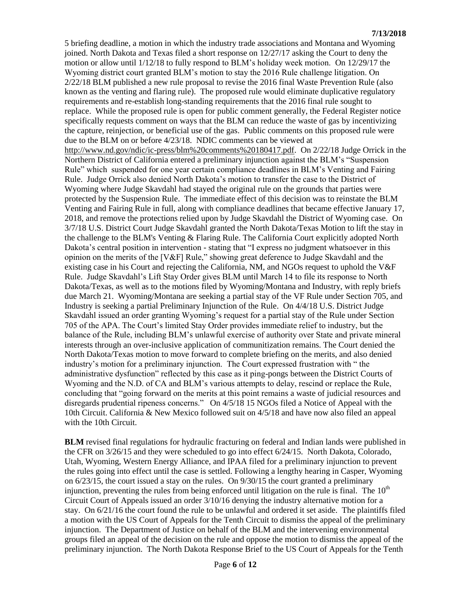5 briefing deadline, a motion in which the industry trade associations and Montana and Wyoming joined. North Dakota and Texas filed a short response on 12/27/17 asking the Court to deny the motion or allow until 1/12/18 to fully respond to BLM's holiday week motion. On 12/29/17 the Wyoming district court granted BLM's motion to stay the 2016 Rule challenge litigation. On 2/22/18 BLM published a new rule proposal to revise the 2016 final Waste Prevention Rule (also known as the venting and flaring rule). The proposed rule would eliminate duplicative regulatory requirements and re-establish long-standing requirements that the 2016 final rule sought to replace. While the proposed rule is open for public comment generally, the Federal Register notice specifically requests comment on ways that the BLM can reduce the waste of gas by incentivizing the capture, reinjection, or beneficial use of the gas. Public comments on this proposed rule were due to the BLM on or before 4/23/18. NDIC comments can be viewed at [http://www.nd.gov/ndic/ic-press/blm%20comments%20180417.pdf.](http://www.nd.gov/ndic/ic-press/blm%20comments%20180417.pdf) On 2/22/18 Judge Orrick in the Northern District of California entered a preliminary injunction against the BLM's "Suspension Rule" which suspended for one year certain compliance deadlines in BLM's Venting and Fairing Rule. Judge Orrick also denied North Dakota's motion to transfer the case to the District of Wyoming where Judge Skavdahl had stayed the original rule on the grounds that parties were protected by the Suspension Rule. The immediate effect of this decision was to reinstate the BLM Venting and Fairing Rule in full, along with compliance deadlines that became effective January 17, 2018, and remove the protections relied upon by Judge Skavdahl the District of Wyoming case. On 3/7/18 U.S. District Court Judge Skavdahl granted the North Dakota/Texas Motion to lift the stay in the challenge to the BLM's Venting & Flaring Rule. The California Court explicitly adopted North Dakota's central position in intervention - stating that "I express no judgment whatsoever in this opinion on the merits of the [V&F] Rule," showing great deference to Judge Skavdahl and the existing case in his Court and rejecting the California, NM, and NGOs request to uphold the V&F Rule. Judge Skavdahl's Lift Stay Order gives BLM until March 14 to file its response to North Dakota/Texas, as well as to the motions filed by Wyoming/Montana and Industry, with reply briefs due March 21. Wyoming/Montana are seeking a partial stay of the VF Rule under Section 705, and Industry is seeking a partial Preliminary Injunction of the Rule. On 4/4/18 U.S. District Judge Skavdahl issued an order granting Wyoming's request for a partial stay of the Rule under Section 705 of the APA. The Court's limited Stay Order provides immediate relief to industry, but the balance of the Rule, including BLM's unlawful exercise of authority over State and private mineral interests through an over-inclusive application of communitization remains. The Court denied the North Dakota/Texas motion to move forward to complete briefing on the merits, and also denied industry's motion for a preliminary injunction. The Court expressed frustration with " the administrative dysfunction" reflected by this case as it ping-pongs between the District Courts of Wyoming and the N.D. of CA and BLM's various attempts to delay, rescind or replace the Rule, concluding that "going forward on the merits at this point remains a waste of judicial resources and disregards prudential ripeness concerns." On 4/5/18 15 NGOs filed a Notice of Appeal with the 10th Circuit. California & New Mexico followed suit on 4/5/18 and have now also filed an appeal with the 10th Circuit.

**BLM** revised final regulations for hydraulic fracturing on federal and Indian lands were published in the CFR on 3/26/15 and they were scheduled to go into effect 6/24/15. North Dakota, Colorado, Utah, Wyoming, Western Energy Alliance, and IPAA filed for a preliminary injunction to prevent the rules going into effect until the case is settled. Following a lengthy hearing in Casper, Wyoming on 6/23/15, the court issued a stay on the rules. On 9/30/15 the court granted a preliminary injunction, preventing the rules from being enforced until litigation on the rule is final. The  $10<sup>th</sup>$ Circuit Court of Appeals issued an order 3/10/16 denying the industry alternative motion for a stay. On 6/21/16 the court found the rule to be unlawful and ordered it set aside. The plaintiffs filed a motion with the US Court of Appeals for the Tenth Circuit to dismiss the appeal of the preliminary injunction. The Department of Justice on behalf of the BLM and the intervening environmental groups filed an appeal of the decision on the rule and oppose the motion to dismiss the appeal of the preliminary injunction. The North Dakota Response Brief to the US Court of Appeals for the Tenth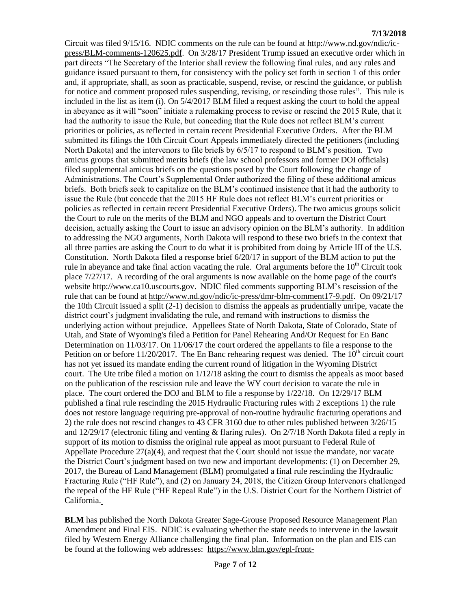Circuit was filed 9/15/16. NDIC comments on the rule can be found at [http://www.nd.gov/ndic/ic](http://www.nd.gov/ndic/ic-press/BLM-comments-120625.pdf)[press/BLM-comments-120625.pdf.](http://www.nd.gov/ndic/ic-press/BLM-comments-120625.pdf) On 3/28/17 President Trump issued an executive order which in part directs "The Secretary of the Interior shall review the following final rules, and any rules and guidance issued pursuant to them, for consistency with the policy set forth in section 1 of this order and, if appropriate, shall, as soon as practicable, suspend, revise, or rescind the guidance, or publish for notice and comment proposed rules suspending, revising, or rescinding those rules". This rule is included in the list as item (i). On 5/4/2017 BLM filed a request asking the court to hold the appeal in abeyance as it will "soon" initiate a rulemaking process to revise or rescind the 2015 Rule, that it had the authority to issue the Rule, but conceding that the Rule does not reflect BLM's current priorities or policies, as reflected in certain recent Presidential Executive Orders. After the BLM submitted its filings the 10th Circuit Court Appeals immediately directed the petitioners (including North Dakota) and the intervenors to file briefs by 6/5/17 to respond to BLM's position. Two amicus groups that submitted merits briefs (the law school professors and former DOI officials) filed supplemental amicus briefs on the questions posed by the Court following the change of Administrations. The Court's Supplemental Order authorized the filing of these additional amicus briefs. Both briefs seek to capitalize on the BLM's continued insistence that it had the authority to issue the Rule (but concede that the 2015 HF Rule does not reflect BLM's current priorities or policies as reflected in certain recent Presidential Executive Orders). The two amicus groups solicit the Court to rule on the merits of the BLM and NGO appeals and to overturn the District Court decision, actually asking the Court to issue an advisory opinion on the BLM's authority. In addition to addressing the NGO arguments, North Dakota will respond to these two briefs in the context that all three parties are asking the Court to do what it is prohibited from doing by Article III of the U.S. Constitution. North Dakota filed a response brief 6/20/17 in support of the BLM action to put the rule in abeyance and take final action vacating the rule. Oral arguments before the  $10<sup>th</sup>$  Circuit took place 7/27/17. A recording of the oral arguments is now available on the home page of the court's website [http://www.ca10.uscourts.gov.](https://urldefense.proofpoint.com/v2/url?u=http-3A__www.ca10.uscourts.gov&d=DwMGaQ&c=2s2mvbfY0UoSKkl6_Ol9wg&r=-wqsZnBxny594KY8HeElow&m=Ul_VtJUX6iW5pvHjCcBxUWtskC0F4Dhry3sPtcEHvCw&s=laRHiLDv5w8otcQWQjpn82WMieoB2AZ-Q4M1LFQPL5s&e=) NDIC filed comments supporting BLM's rescission of the rule that can be found at [http://www.nd.gov/ndic/ic-press/dmr-blm-comment17-9.pdf.](http://www.nd.gov/ndic/ic-press/dmr-blm-comment17-9.pdf) On 09/21/17 the 10th Circuit issued a split (2-1) decision to dismiss the appeals as prudentially unripe, vacate the district court's judgment invalidating the rule, and remand with instructions to dismiss the underlying action without prejudice. Appellees State of North Dakota, State of Colorado, State of Utah, and State of Wyoming's filed a Petition for Panel Rehearing And/Or Request for En Banc Determination on 11/03/17. On 11/06/17 the court ordered the appellants to file a response to the Petition on or before  $11/20/2017$ . The En Banc rehearing request was denied. The  $10<sup>th</sup>$  circuit court has not yet issued its mandate ending the current round of litigation in the Wyoming District court. The Ute tribe filed a motion on 1/12/18 asking the court to dismiss the appeals as moot based on the publication of the rescission rule and leave the WY court decision to vacate the rule in place. The court ordered the DOJ and BLM to file a response by 1/22/18. On 12/29/17 BLM published a final rule rescinding the 2015 Hydraulic Fracturing rules with 2 exceptions 1) the rule does not restore language requiring pre-approval of non-routine hydraulic fracturing operations and 2) the rule does not rescind changes to 43 CFR 3160 due to other rules published between 3/26/15 and 12/29/17 (electronic filing and venting & flaring rules). On 2/7/18 North Dakota filed a reply in support of its motion to dismiss the original rule appeal as moot pursuant to Federal Rule of Appellate Procedure  $27(a)(4)$ , and request that the Court should not issue the mandate, nor vacate the District Court's judgment based on two new and important developments: (1) on December 29, 2017, the Bureau of Land Management (BLM) promulgated a final rule rescinding the Hydraulic Fracturing Rule ("HF Rule"), and (2) on January 24, 2018, the Citizen Group Intervenors challenged the repeal of the HF Rule ("HF Repeal Rule") in the U.S. District Court for the Northern District of California.

**BLM** has published the North Dakota Greater Sage-Grouse Proposed Resource Management Plan Amendment and Final EIS. NDIC is evaluating whether the state needs to intervene in the lawsuit filed by Western Energy Alliance challenging the final plan. Information on the plan and EIS can be found at the following web addresses: [https://www.blm.gov/epl-front-](https://www.blm.gov/epl-front-office/eplanning/planAndProjectSite.do?methodName=dispatchToPatternPage¤tPageId=48797)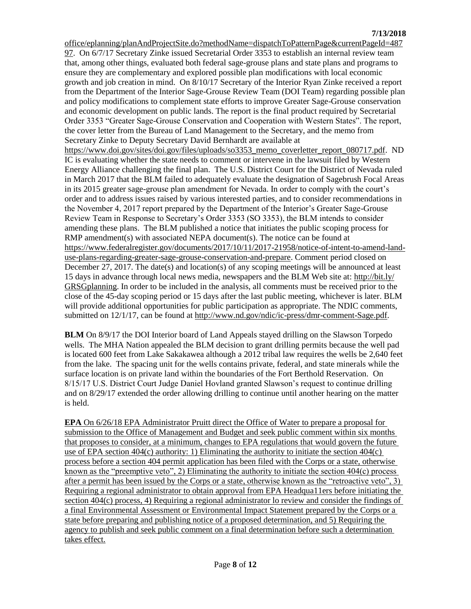[office/eplanning/planAndProjectSite.do?methodName=dispatchToPatternPage&currentPageId=487](https://www.blm.gov/epl-front-office/eplanning/planAndProjectSite.do?methodName=dispatchToPatternPage¤tPageId=48797) [97.](https://www.blm.gov/epl-front-office/eplanning/planAndProjectSite.do?methodName=dispatchToPatternPage¤tPageId=48797) On 6/7/17 Secretary Zinke issued Secretarial Order 3353 to establish an internal review team that, among other things, evaluated both federal sage-grouse plans and state plans and programs to ensure they are complementary and explored possible plan modifications with local economic growth and job creation in mind. On 8/10/17 Secretary of the Interior Ryan Zinke received a report from the Department of the Interior Sage-Grouse Review Team (DOI Team) regarding possible plan and policy modifications to complement state efforts to improve Greater Sage-Grouse conservation and economic development on public lands. The report is the final product required by Secretarial Order 3353 "Greater Sage-Grouse Conservation and Cooperation with Western States". The report, the cover letter from the Bureau of Land Management to the Secretary, and the memo from Secretary Zinke to Deputy Secretary David Bernhardt are available at https://www.doi.gov/sites/doi.gov/files/uploads/so3353 memo\_coverletter\_report\_080717.pdf. ND IC is evaluating whether the state needs to comment or intervene in the lawsuit filed by Western Energy Alliance challenging the final plan. The U.S. District Court for the District of Nevada ruled in March 2017 that the BLM failed to adequately evaluate the designation of Sagebrush Focal Areas in its 2015 greater sage-grouse plan amendment for Nevada. In order to comply with the court's order and to address issues raised by various interested parties, and to consider recommendations in the November 4, 2017 report prepared by the Department of the Interior's Greater Sage-Grouse Review Team in Response to Secretary's Order 3353 (SO 3353), the BLM intends to consider amending these plans. The BLM published a notice that initiates the public scoping process for RMP amendment(s) with associated NEPA document(s). The notice can be found at [https://www.federalregister.gov/documents/2017/10/11/2017-21958/notice-of-intent-to-amend-land](https://www.federalregister.gov/documents/2017/10/11/2017-21958/notice-of-intent-to-amend-land-use-plans-regarding-greater-sage-grouse-conservation-and-prepare)[use-plans-regarding-greater-sage-grouse-conservation-and-prepare.](https://www.federalregister.gov/documents/2017/10/11/2017-21958/notice-of-intent-to-amend-land-use-plans-regarding-greater-sage-grouse-conservation-and-prepare) Comment period closed on December 27, 2017. The date(s) and location(s) of any scoping meetings will be announced at least 15 days in advance through local news media, newspapers and the BLM Web site at: [http://bit.ly/](http://bit.ly/​GRSGplanning) [GRSGplanning.](http://bit.ly/​GRSGplanning) In order to be included in the analysis, all comments must be received prior to the close of the 45-day scoping period or 15 days after the last public meeting, whichever is later. BLM will provide additional opportunities for public participation as appropriate. The NDIC comments, submitted on 12/1/17, can be found at [http://www.nd.gov/ndic/ic-press/dmr-comment-Sage.pdf.](http://www.nd.gov/ndic/ic-press/dmr-comment-Sage.pdf)

**BLM** On 8/9/17 the DOI Interior board of Land Appeals stayed drilling on the Slawson Torpedo wells. The MHA Nation appealed the BLM decision to grant drilling permits because the well pad is located 600 feet from Lake Sakakawea although a 2012 tribal law requires the wells be 2,640 feet from the lake. The spacing unit for the wells contains private, federal, and state minerals while the surface location is on private land within the boundaries of the Fort Berthold Reservation. On 8/15/17 U.S. District Court Judge Daniel Hovland granted Slawson's request to continue drilling and on 8/29/17 extended the order allowing drilling to continue until another hearing on the matter is held.

**EPA** On 6/26/18 EPA Administrator Pruitt direct the Office of Water to prepare a proposal for submission to the Office of Management and Budget and seek public comment within six months that proposes to consider, at a minimum, changes to EPA regulations that would govern the future use of EPA section 404(c) authority: 1) Eliminating the authority to initiate the section 404(c) process before a section 404 permit application has been filed with the Corps or a state, otherwise known as the "preemptive veto", 2) Eliminating the authority to initiate the section 404(c) process after a permit has been issued by the Corps or a state, otherwise known as the "retroactive veto", 3) Requiring a regional administrator to obtain approval from EPA Headqua11ers before initiating the section 404(c) process, 4) Requiring a regional administrator lo review and consider the findings of a final Environmental Assessment or Environmental Impact Statement prepared by the Corps or a state before preparing and publishing notice of a proposed determination, and 5) Requiring the agency to publish and seek public comment on a final determination before such a determination takes effect.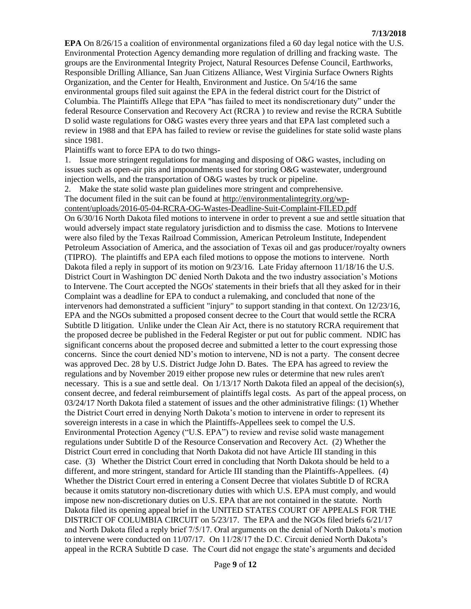**EPA** On 8/26/15 a coalition of environmental organizations filed a 60 day legal notice with the U.S. Environmental Protection Agency demanding more regulation of drilling and fracking waste. The groups are the Environmental Integrity Project, Natural Resources Defense Council, Earthworks, Responsible Drilling Alliance, San Juan Citizens Alliance, West Virginia Surface Owners Rights Organization, and the Center for Health, Environment and Justice. On 5/4/16 the same environmental groups filed suit against the EPA in the federal district court for the District of Columbia. The Plaintiffs Allege that EPA "has failed to meet its nondiscretionary duty" under the federal Resource Conservation and Recovery Act (RCRA ) to review and revise the RCRA Subtitle D solid waste regulations for O&G wastes every three years and that EPA last completed such a review in 1988 and that EPA has failed to review or revise the guidelines for state solid waste plans since 1981.

Plaintiffs want to force EPA to do two things-

1. Issue more stringent regulations for managing and disposing of O&G wastes, including on issues such as open-air pits and impoundments used for storing O&G wastewater, underground injection wells, and the transportation of O&G wastes by truck or pipeline.

2. Make the state solid waste plan guidelines more stringent and comprehensive.

The document filed in the suit can be found at [http://environmentalintegrity.org/wp](http://environmentalintegrity.org/wp-content/uploads/2016-05-04-RCRA-OG-Wastes-Deadline-Suit-Complaint-FILED.pdf)[content/uploads/2016-05-04-RCRA-OG-Wastes-Deadline-Suit-Complaint-FILED.pdf](http://environmentalintegrity.org/wp-content/uploads/2016-05-04-RCRA-OG-Wastes-Deadline-Suit-Complaint-FILED.pdf)

On 6/30/16 North Dakota filed motions to intervene in order to prevent a sue and settle situation that would adversely impact state regulatory jurisdiction and to dismiss the case. Motions to Intervene were also filed by the Texas Railroad Commission, American Petroleum Institute, Independent Petroleum Association of America, and the association of Texas oil and gas producer/royalty owners (TIPRO). The plaintiffs and EPA each filed motions to oppose the motions to intervene. North Dakota filed a reply in support of its motion on  $9/23/16$ . Late Friday afternoon 11/18/16 the U.S. District Court in Washington DC denied North Dakota and the two industry association's Motions to Intervene. The Court accepted the NGOs' statements in their briefs that all they asked for in their Complaint was a deadline for EPA to conduct a rulemaking, and concluded that none of the intervenors had demonstrated a sufficient "injury" to support standing in that context. On 12/23/16, EPA and the NGOs submitted a proposed consent decree to the Court that would settle the RCRA Subtitle D litigation. Unlike under the Clean Air Act, there is no statutory RCRA requirement that the proposed decree be published in the Federal Register or put out for public comment. NDIC has significant concerns about the proposed decree and submitted a letter to the court expressing those concerns. Since the court denied ND's motion to intervene, ND is not a party. The consent decree was approved Dec. 28 by U.S. District Judge John D. Bates. The EPA has agreed to review the regulations and by November 2019 either propose new rules or determine that new rules aren't necessary. This is a sue and settle deal. On  $1/13/17$  North Dakota filed an appeal of the decision(s), consent decree, and federal reimbursement of plaintiffs legal costs. As part of the appeal process, on 03/24/17 North Dakota filed a statement of issues and the other administrative filings: (1) Whether the District Court erred in denying North Dakota's motion to intervene in order to represent its sovereign interests in a case in which the Plaintiffs-Appellees seek to compel the U.S. Environmental Protection Agency ("U.S. EPA") to review and revise solid waste management regulations under Subtitle D of the Resource Conservation and Recovery Act. (2) Whether the District Court erred in concluding that North Dakota did not have Article III standing in this case. (3) Whether the District Court erred in concluding that North Dakota should be held to a different, and more stringent, standard for Article III standing than the Plaintiffs-Appellees. (4) Whether the District Court erred in entering a Consent Decree that violates Subtitle D of RCRA because it omits statutory non-discretionary duties with which U.S. EPA must comply, and would impose new non-discretionary duties on U.S. EPA that are not contained in the statute. North Dakota filed its opening appeal brief in the UNITED STATES COURT OF APPEALS FOR THE DISTRICT OF COLUMBIA CIRCUIT on 5/23/17. The EPA and the NGOs filed briefs 6/21/17 and North Dakota filed a reply brief 7/5/17. Oral arguments on the denial of North Dakota's motion to intervene were conducted on 11/07/17. On 11/28/17 the D.C. Circuit denied North Dakota's appeal in the RCRA Subtitle D case. The Court did not engage the state's arguments and decided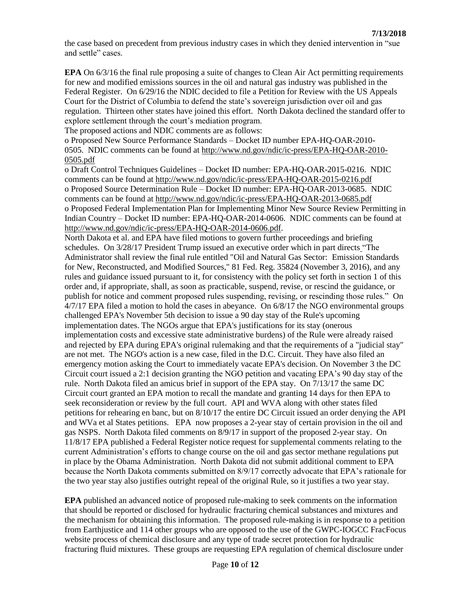the case based on precedent from previous industry cases in which they denied intervention in "sue and settle" cases.

**EPA** On 6/3/16 the final rule proposing a suite of changes to Clean Air Act permitting requirements for new and modified emissions sources in the oil and natural gas industry was published in the Federal Register. On 6/29/16 the NDIC decided to file a Petition for Review with the US Appeals Court for the District of Columbia to defend the state's sovereign jurisdiction over oil and gas regulation. Thirteen other states have joined this effort. North Dakota declined the standard offer to explore settlement through the court's mediation program.

The proposed actions and NDIC comments are as follows:

o Proposed New Source Performance Standards – Docket ID number EPA-HQ-OAR-2010- 0505. NDIC comments can be found at [http://www.nd.gov/ndic/ic-press/EPA-HQ-OAR-2010-](http://www.nd.gov/ndic/ic-press/EPA-HQ-OAR-2010-0505.pdf) [0505.pdf](http://www.nd.gov/ndic/ic-press/EPA-HQ-OAR-2010-0505.pdf)

o Draft Control Techniques Guidelines – Docket ID number: EPA-HQ-OAR-2015-0216. NDIC comments can be found at<http://www.nd.gov/ndic/ic-press/EPA-HQ-OAR-2015-0216.pdf> o Proposed Source Determination Rule – Docket ID number: EPA-HQ-OAR-2013-0685. NDIC comments can be found at<http://www.nd.gov/ndic/ic-press/EPA-HQ-OAR-2013-0685.pdf> o Proposed Federal Implementation Plan for Implementing Minor New Source Review Permitting in Indian Country – Docket ID number: EPA-HQ-OAR-2014-0606. NDIC comments can be found at [http://www.nd.gov/ndic/ic-press/EPA-HQ-OAR-2014-0606.pdf.](http://www.nd.gov/ndic/ic-press/EPA-HQ-OAR-2014-0606.pdf)

North Dakota et al. and EPA have filed motions to govern further proceedings and briefing schedules. On 3/28/17 President Trump issued an executive order which in part directs "The Administrator shall review the final rule entitled "Oil and Natural Gas Sector: Emission Standards for New, Reconstructed, and Modified Sources," 81 Fed. Reg. 35824 (November 3, 2016), and any rules and guidance issued pursuant to it, for consistency with the policy set forth in section 1 of this order and, if appropriate, shall, as soon as practicable, suspend, revise, or rescind the guidance, or publish for notice and comment proposed rules suspending, revising, or rescinding those rules." On 4/7/17 EPA filed a motion to hold the cases in abeyance. On 6/8/17 the NGO environmental groups challenged EPA's November 5th decision to issue a 90 day stay of the Rule's upcoming implementation dates. The NGOs argue that EPA's justifications for its stay (onerous implementation costs and excessive state administrative burdens) of the Rule were already raised and rejected by EPA during EPA's original rulemaking and that the requirements of a "judicial stay" are not met. The NGO's action is a new case, filed in the D.C. Circuit. They have also filed an emergency motion asking the Court to immediately vacate EPA's decision. On November 3 the DC Circuit court issued a 2:1 decision granting the NGO petition and vacating EPA's 90 day stay of the rule. North Dakota filed an amicus brief in support of the EPA stay. On 7/13/17 the same DC Circuit court granted an EPA motion to recall the mandate and granting 14 days for then EPA to seek reconsideration or review by the full court. API and WVA along with other states filed petitions for rehearing en banc, but on 8/10/17 the entire DC Circuit issued an order denying the API and WVa et al States petitions. EPA now proposes a 2-year stay of certain provision in the oil and gas NSPS. North Dakota filed comments on 8/9/17 in support of the proposed 2-year stay. On 11/8/17 EPA published a Federal Register notice request for supplemental comments relating to the current Administration's efforts to change course on the oil and gas sector methane regulations put in place by the Obama Administration. North Dakota did not submit additional comment to EPA because the North Dakota comments submitted on 8/9/17 correctly advocate that EPA's rationale for the two year stay also justifies outright repeal of the original Rule, so it justifies a two year stay.

**EPA** published an advanced notice of proposed rule-making to seek comments on the information that should be reported or disclosed for hydraulic fracturing chemical substances and mixtures and the mechanism for obtaining this information. The proposed rule-making is in response to a petition from Earthjustice and 114 other groups who are opposed to the use of the GWPC-IOGCC FracFocus website process of chemical disclosure and any type of trade secret protection for hydraulic fracturing fluid mixtures. These groups are requesting EPA regulation of chemical disclosure under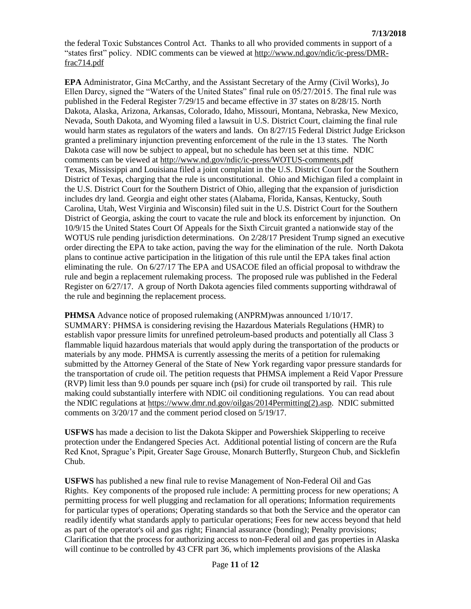the federal Toxic Substances Control Act. Thanks to all who provided comments in support of a "states first" policy. NDIC comments can be viewed at [http://www.nd.gov/ndic/ic-press/DMR](http://www.nd.gov/ndic/ic-press/DMR-frac714.pdf)[frac714.pdf](http://www.nd.gov/ndic/ic-press/DMR-frac714.pdf)

**EPA** Administrator, Gina McCarthy, and the Assistant Secretary of the Army (Civil Works), Jo Ellen Darcy, signed the "Waters of the United States" final rule on 05/27/2015. The final rule was published in the Federal Register 7/29/15 and became effective in 37 states on 8/28/15. North Dakota, Alaska, Arizona, Arkansas, Colorado, Idaho, Missouri, Montana, Nebraska, New Mexico, Nevada, South Dakota, and Wyoming filed a lawsuit in U.S. District Court, claiming the final rule would harm states as regulators of the waters and lands. On 8/27/15 Federal District Judge Erickson granted a preliminary injunction preventing enforcement of the rule in the 13 states. The North Dakota case will now be subject to appeal, but no schedule has been set at this time. NDIC comments can be viewed at<http://www.nd.gov/ndic/ic-press/WOTUS-comments.pdf> Texas, Mississippi and Louisiana filed a joint complaint in the U.S. District Court for the Southern District of Texas, charging that the rule is unconstitutional. Ohio and Michigan filed a complaint in the U.S. District Court for the Southern District of Ohio, alleging that the expansion of jurisdiction includes dry land. Georgia and eight other states (Alabama, Florida, Kansas, Kentucky, South Carolina, Utah, West Virginia and Wisconsin) filed suit in the U.S. District Court for the Southern District of Georgia, asking the court to vacate the rule and block its enforcement by injunction. On 10/9/15 the United States Court Of Appeals for the Sixth Circuit granted a nationwide stay of the WOTUS rule pending jurisdiction determinations. On 2/28/17 President Trump signed an executive order directing the EPA to take action, paving the way for the elimination of the rule. North Dakota plans to continue active participation in the litigation of this rule until the EPA takes final action eliminating the rule. On 6/27/17 The EPA and USACOE filed an official proposal to withdraw the rule and begin a replacement rulemaking process. The proposed rule was published in the Federal Register on 6/27/17. A group of North Dakota agencies filed comments supporting withdrawal of the rule and beginning the replacement process.

**PHMSA** Advance notice of proposed rulemaking (ANPRM)was announced 1/10/17. SUMMARY: PHMSA is considering revising the Hazardous Materials Regulations (HMR) to establish vapor pressure limits for unrefined petroleum-based products and potentially all Class 3 flammable liquid hazardous materials that would apply during the transportation of the products or materials by any mode. PHMSA is currently assessing the merits of a petition for rulemaking submitted by the Attorney General of the State of New York regarding vapor pressure standards for the transportation of crude oil. The petition requests that PHMSA implement a Reid Vapor Pressure (RVP) limit less than 9.0 pounds per square inch (psi) for crude oil transported by rail. This rule making could substantially interfere with NDIC oil conditioning regulations. You can read about the NDIC regulations at [https://www.dmr.nd.gov/oilgas/2014Permitting\(2\).asp.](https://www.dmr.nd.gov/oilgas/2014Permitting(2).asp) NDIC submitted comments on 3/20/17 and the comment period closed on 5/19/17.

**USFWS** has made a decision to list the Dakota Skipper and Powershiek Skipperling to receive protection under the Endangered Species Act. Additional potential listing of concern are the Rufa Red Knot, Sprague's Pipit, Greater Sage Grouse, Monarch Butterfly, Sturgeon Chub, and Sicklefin Chub.

**USFWS** has published a new final rule to revise Management of Non-Federal Oil and Gas Rights. Key components of the proposed rule include: A permitting process for new operations; A permitting process for well plugging and reclamation for all operations; Information requirements for particular types of operations; Operating standards so that both the Service and the operator can readily identify what standards apply to particular operations; Fees for new access beyond that held as part of the operator's oil and gas right; Financial assurance (bonding); Penalty provisions; Clarification that the process for authorizing access to non-Federal oil and gas properties in Alaska will continue to be controlled by 43 CFR part 36, which implements provisions of the Alaska